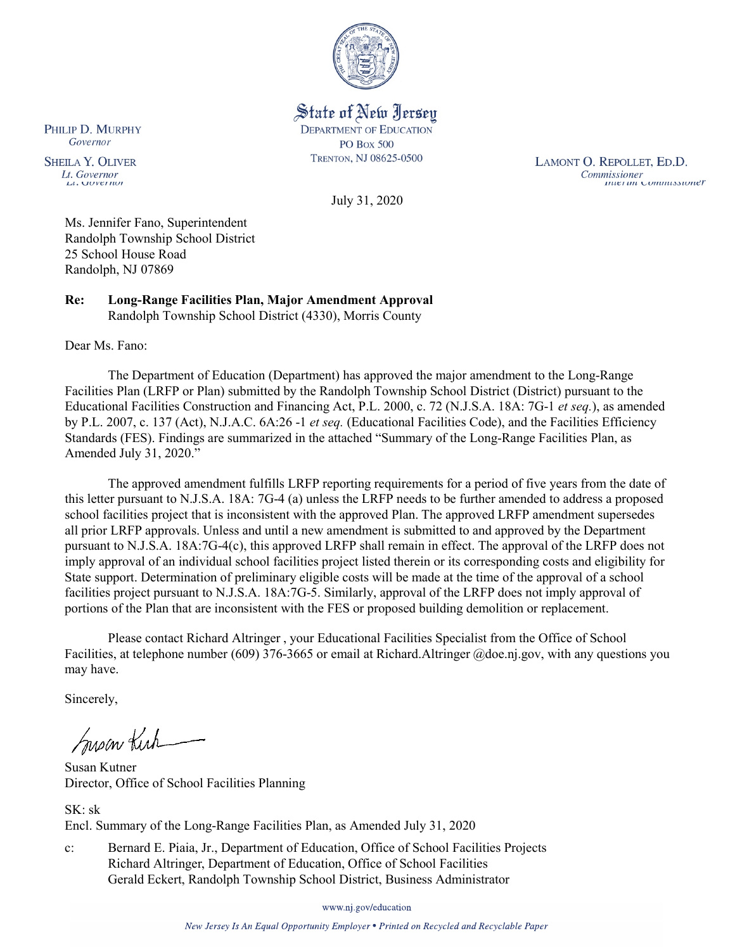

State of New Jersey **DEPARTMENT OF EDUCATION PO Box 500** TRENTON, NJ 08625-0500

LAMONT O. REPOLLET, ED.D. Commissioner<br>Thuer un Commussioner

July 31, 2020

Ms. Jennifer Fano, Superintendent Randolph Township School District 25 School House Road Randolph, NJ 07869

**Re: Long-Range Facilities Plan, Major Amendment Approval**  Randolph Township School District (4330), Morris County

Dear Ms. Fano:

The Department of Education (Department) has approved the major amendment to the Long-Range Facilities Plan (LRFP or Plan) submitted by the Randolph Township School District (District) pursuant to the Educational Facilities Construction and Financing Act, P.L. 2000, c. 72 (N.J.S.A. 18A: 7G-1 *et seq.*), as amended by P.L. 2007, c. 137 (Act), N.J.A.C. 6A:26 -1 *et seq.* (Educational Facilities Code), and the Facilities Efficiency Standards (FES). Findings are summarized in the attached "Summary of the Long-Range Facilities Plan, as Amended July 31, 2020."

The approved amendment fulfills LRFP reporting requirements for a period of five years from the date of this letter pursuant to N.J.S.A. 18A: 7G-4 (a) unless the LRFP needs to be further amended to address a proposed school facilities project that is inconsistent with the approved Plan. The approved LRFP amendment supersedes all prior LRFP approvals. Unless and until a new amendment is submitted to and approved by the Department pursuant to N.J.S.A. 18A:7G-4(c), this approved LRFP shall remain in effect. The approval of the LRFP does not imply approval of an individual school facilities project listed therein or its corresponding costs and eligibility for State support. Determination of preliminary eligible costs will be made at the time of the approval of a school facilities project pursuant to N.J.S.A. 18A:7G-5. Similarly, approval of the LRFP does not imply approval of portions of the Plan that are inconsistent with the FES or proposed building demolition or replacement.

Please contact Richard Altringer , your Educational Facilities Specialist from the Office of School Facilities, at telephone number (609) 376-3665 or email at Richard.Altringer @doe.nj.gov, with any questions you may have.

Sincerely,

Susan Kich

Susan Kutner Director, Office of School Facilities Planning

SK: sk Encl. Summary of the Long-Range Facilities Plan, as Amended July 31, 2020

c: Bernard E. Piaia, Jr., Department of Education, Office of School Facilities Projects Richard Altringer, Department of Education, Office of School Facilities Gerald Eckert, Randolph Township School District, Business Administrator

www.nj.gov/education

New Jersey Is An Equal Opportunity Employer . Printed on Recycled and Recyclable Paper

PHILIP D. MURPHY Governor

**SHEILA Y. OLIVER** Lt. Governor  $\mu$ . OUVET IWE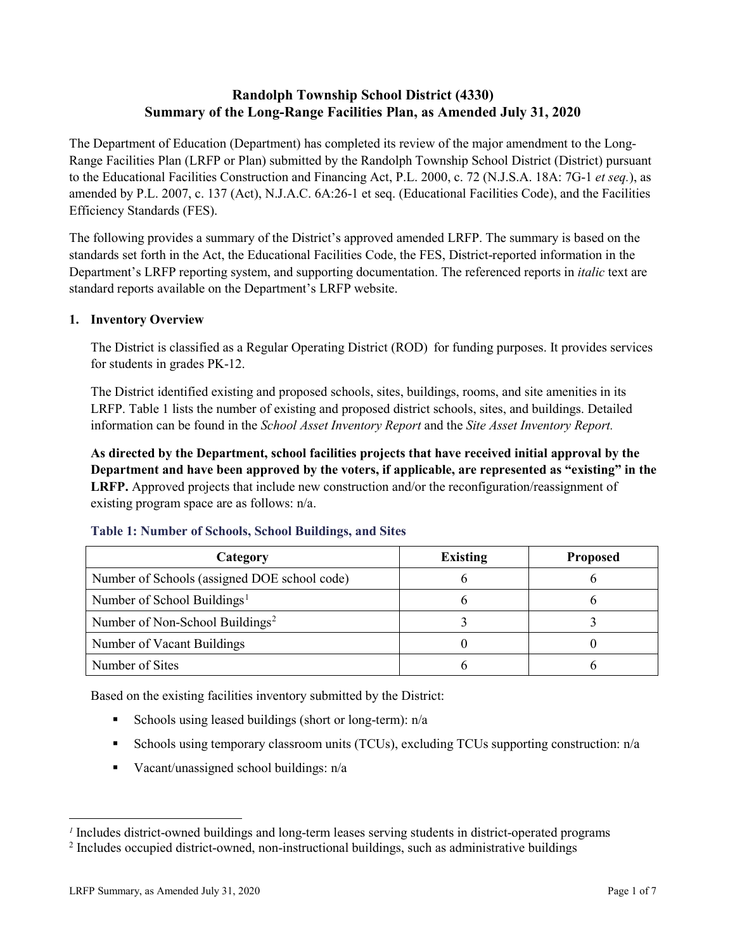# **Randolph Township School District (4330) Summary of the Long-Range Facilities Plan, as Amended July 31, 2020**

The Department of Education (Department) has completed its review of the major amendment to the Long-Range Facilities Plan (LRFP or Plan) submitted by the Randolph Township School District (District) pursuant to the Educational Facilities Construction and Financing Act, P.L. 2000, c. 72 (N.J.S.A. 18A: 7G-1 *et seq.*), as amended by P.L. 2007, c. 137 (Act), N.J.A.C. 6A:26-1 et seq. (Educational Facilities Code), and the Facilities Efficiency Standards (FES).

The following provides a summary of the District's approved amended LRFP. The summary is based on the standards set forth in the Act, the Educational Facilities Code, the FES, District-reported information in the Department's LRFP reporting system, and supporting documentation. The referenced reports in *italic* text are standard reports available on the Department's LRFP website.

#### **1. Inventory Overview**

The District is classified as a Regular Operating District (ROD) for funding purposes. It provides services for students in grades PK-12.

The District identified existing and proposed schools, sites, buildings, rooms, and site amenities in its LRFP. Table 1 lists the number of existing and proposed district schools, sites, and buildings. Detailed information can be found in the *School Asset Inventory Report* and the *Site Asset Inventory Report.*

**As directed by the Department, school facilities projects that have received initial approval by the Department and have been approved by the voters, if applicable, are represented as "existing" in the LRFP.** Approved projects that include new construction and/or the reconfiguration/reassignment of existing program space are as follows: n/a.

| Category                                     | <b>Existing</b> | <b>Proposed</b> |
|----------------------------------------------|-----------------|-----------------|
| Number of Schools (assigned DOE school code) |                 |                 |
| Number of School Buildings <sup>1</sup>      |                 |                 |
| Number of Non-School Buildings <sup>2</sup>  |                 |                 |
| Number of Vacant Buildings                   |                 |                 |
| Number of Sites                              |                 |                 |

#### **Table 1: Number of Schools, School Buildings, and Sites**

Based on the existing facilities inventory submitted by the District:

- Schools using leased buildings (short or long-term):  $n/a$
- Schools using temporary classroom units (TCUs), excluding TCUs supporting construction: n/a
- Vacant/unassigned school buildings:  $n/a$

 $\overline{a}$ 

<span id="page-1-0"></span>*<sup>1</sup>* Includes district-owned buildings and long-term leases serving students in district-operated programs

<span id="page-1-1"></span><sup>2</sup> Includes occupied district-owned, non-instructional buildings, such as administrative buildings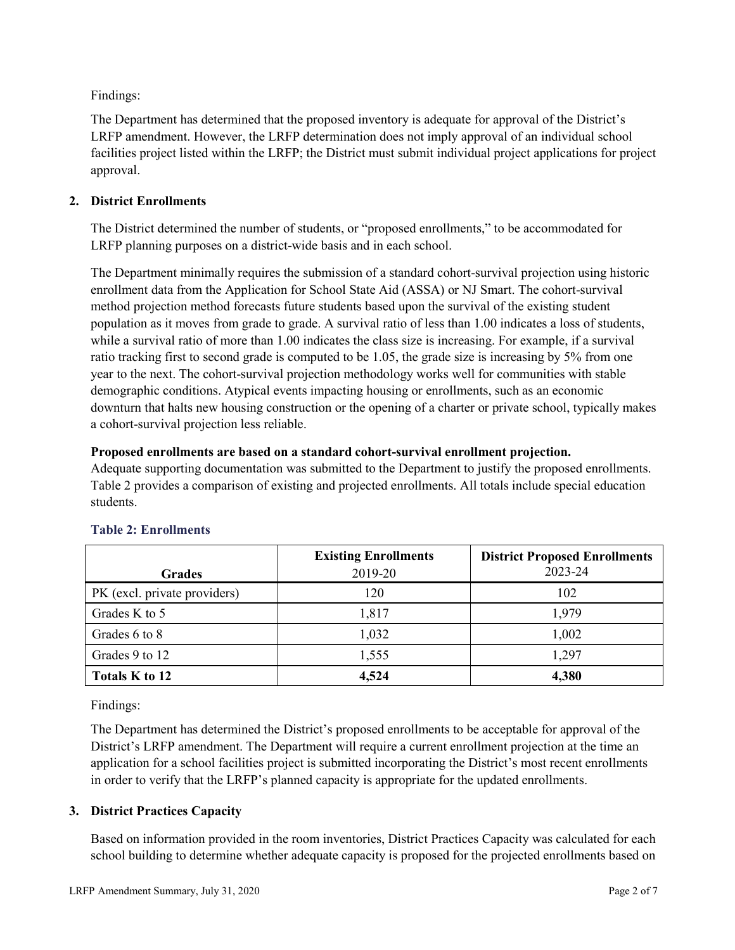Findings:

The Department has determined that the proposed inventory is adequate for approval of the District's LRFP amendment. However, the LRFP determination does not imply approval of an individual school facilities project listed within the LRFP; the District must submit individual project applications for project approval.

# **2. District Enrollments**

The District determined the number of students, or "proposed enrollments," to be accommodated for LRFP planning purposes on a district-wide basis and in each school.

The Department minimally requires the submission of a standard cohort-survival projection using historic enrollment data from the Application for School State Aid (ASSA) or NJ Smart. The cohort-survival method projection method forecasts future students based upon the survival of the existing student population as it moves from grade to grade. A survival ratio of less than 1.00 indicates a loss of students, while a survival ratio of more than 1.00 indicates the class size is increasing. For example, if a survival ratio tracking first to second grade is computed to be 1.05, the grade size is increasing by 5% from one year to the next. The cohort-survival projection methodology works well for communities with stable demographic conditions. Atypical events impacting housing or enrollments, such as an economic downturn that halts new housing construction or the opening of a charter or private school, typically makes a cohort-survival projection less reliable.

#### **Proposed enrollments are based on a standard cohort-survival enrollment projection.**

Adequate supporting documentation was submitted to the Department to justify the proposed enrollments. Table 2 provides a comparison of existing and projected enrollments. All totals include special education students.

|                              | <b>Existing Enrollments</b> | <b>District Proposed Enrollments</b> |
|------------------------------|-----------------------------|--------------------------------------|
| <b>Grades</b>                | 2019-20                     | 2023-24                              |
| PK (excl. private providers) | 120                         | 102                                  |
| Grades K to 5                | 1,817                       | 1,979                                |
| Grades 6 to 8                | 1,032                       | 1,002                                |
| Grades 9 to 12               | 1,555                       | 1,297                                |
| Totals K to 12               | 4,524                       | 4,380                                |

# **Table 2: Enrollments**

Findings:

The Department has determined the District's proposed enrollments to be acceptable for approval of the District's LRFP amendment. The Department will require a current enrollment projection at the time an application for a school facilities project is submitted incorporating the District's most recent enrollments in order to verify that the LRFP's planned capacity is appropriate for the updated enrollments.

# **3. District Practices Capacity**

Based on information provided in the room inventories, District Practices Capacity was calculated for each school building to determine whether adequate capacity is proposed for the projected enrollments based on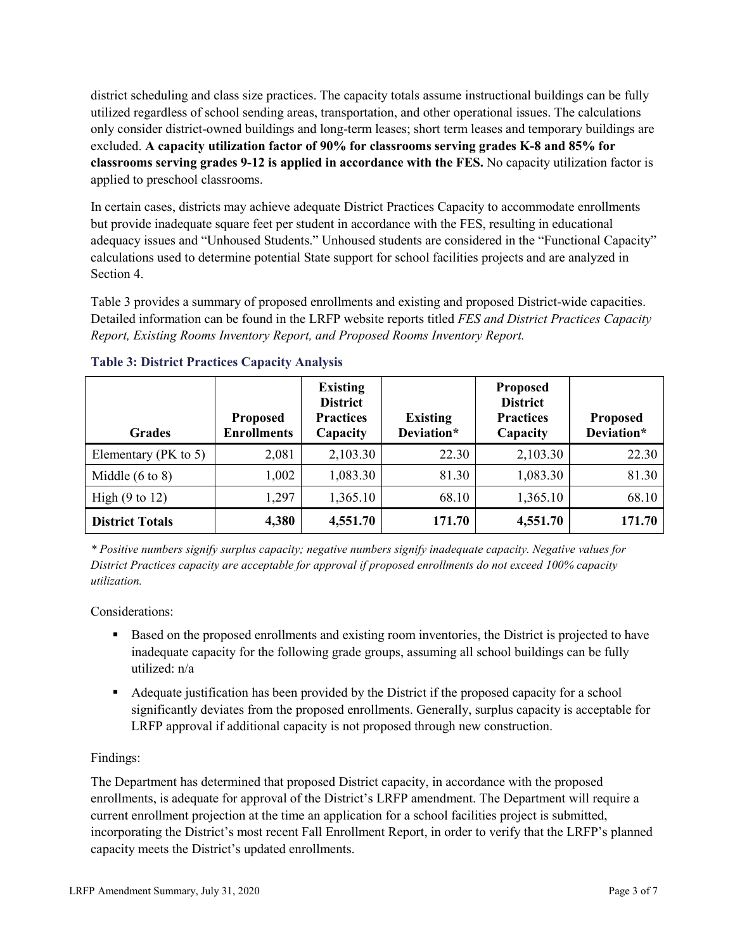district scheduling and class size practices. The capacity totals assume instructional buildings can be fully utilized regardless of school sending areas, transportation, and other operational issues. The calculations only consider district-owned buildings and long-term leases; short term leases and temporary buildings are excluded. **A capacity utilization factor of 90% for classrooms serving grades K-8 and 85% for classrooms serving grades 9-12 is applied in accordance with the FES.** No capacity utilization factor is applied to preschool classrooms.

In certain cases, districts may achieve adequate District Practices Capacity to accommodate enrollments but provide inadequate square feet per student in accordance with the FES, resulting in educational adequacy issues and "Unhoused Students." Unhoused students are considered in the "Functional Capacity" calculations used to determine potential State support for school facilities projects and are analyzed in Section 4.

Table 3 provides a summary of proposed enrollments and existing and proposed District-wide capacities. Detailed information can be found in the LRFP website reports titled *FES and District Practices Capacity Report, Existing Rooms Inventory Report, and Proposed Rooms Inventory Report.*

| <b>Grades</b>              | <b>Proposed</b><br><b>Enrollments</b> | <b>Existing</b><br><b>District</b><br><b>Practices</b><br>Capacity | <b>Existing</b><br>Deviation* | <b>Proposed</b><br><b>District</b><br><b>Practices</b><br>Capacity | <b>Proposed</b><br>Deviation* |
|----------------------------|---------------------------------------|--------------------------------------------------------------------|-------------------------------|--------------------------------------------------------------------|-------------------------------|
| Elementary ( $PK$ to 5)    | 2,081                                 | 2,103.30                                                           | 22.30                         | 2,103.30                                                           | 22.30                         |
| Middle $(6 \text{ to } 8)$ | 1,002                                 | 1,083.30                                                           | 81.30                         | 1,083.30                                                           | 81.30                         |
| High $(9 \text{ to } 12)$  | 1,297                                 | 1,365.10                                                           | 68.10                         | 1,365.10                                                           | 68.10                         |
| <b>District Totals</b>     | 4,380                                 | 4,551.70                                                           | 171.70                        | 4,551.70                                                           | 171.70                        |

# **Table 3: District Practices Capacity Analysis**

*\* Positive numbers signify surplus capacity; negative numbers signify inadequate capacity. Negative values for District Practices capacity are acceptable for approval if proposed enrollments do not exceed 100% capacity utilization.*

Considerations:

- Based on the proposed enrollments and existing room inventories, the District is projected to have inadequate capacity for the following grade groups, assuming all school buildings can be fully utilized: n/a
- Adequate justification has been provided by the District if the proposed capacity for a school significantly deviates from the proposed enrollments. Generally, surplus capacity is acceptable for LRFP approval if additional capacity is not proposed through new construction.

# Findings:

The Department has determined that proposed District capacity, in accordance with the proposed enrollments, is adequate for approval of the District's LRFP amendment. The Department will require a current enrollment projection at the time an application for a school facilities project is submitted, incorporating the District's most recent Fall Enrollment Report, in order to verify that the LRFP's planned capacity meets the District's updated enrollments.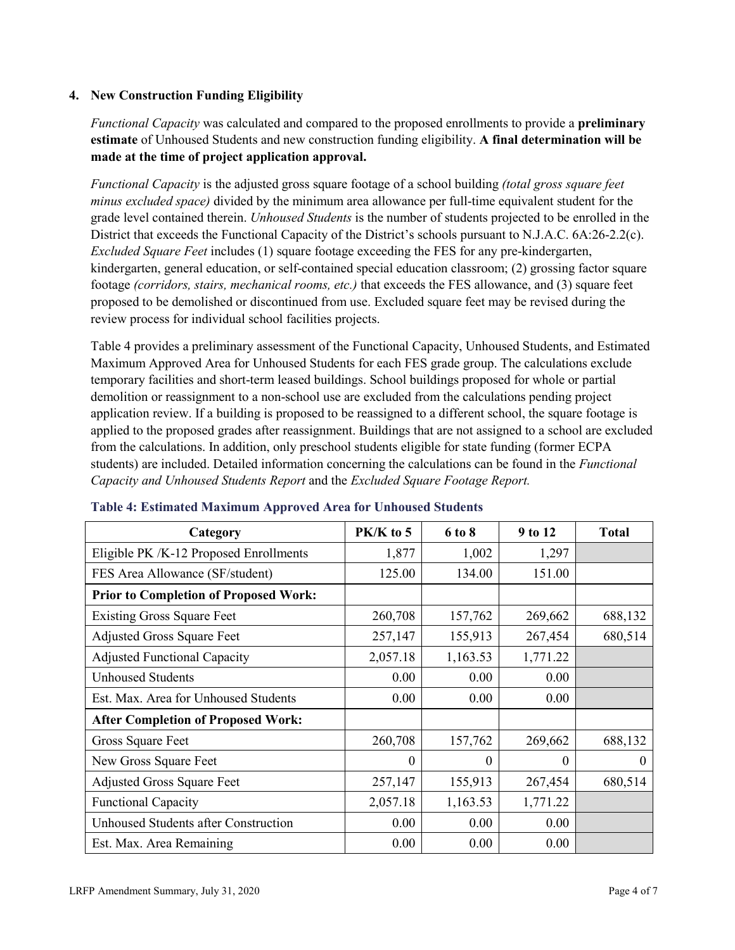# **4. New Construction Funding Eligibility**

*Functional Capacity* was calculated and compared to the proposed enrollments to provide a **preliminary estimate** of Unhoused Students and new construction funding eligibility. **A final determination will be made at the time of project application approval.**

*Functional Capacity* is the adjusted gross square footage of a school building *(total gross square feet minus excluded space)* divided by the minimum area allowance per full-time equivalent student for the grade level contained therein. *Unhoused Students* is the number of students projected to be enrolled in the District that exceeds the Functional Capacity of the District's schools pursuant to N.J.A.C. 6A:26-2.2(c). *Excluded Square Feet* includes (1) square footage exceeding the FES for any pre-kindergarten, kindergarten, general education, or self-contained special education classroom; (2) grossing factor square footage *(corridors, stairs, mechanical rooms, etc.)* that exceeds the FES allowance, and (3) square feet proposed to be demolished or discontinued from use. Excluded square feet may be revised during the review process for individual school facilities projects.

Table 4 provides a preliminary assessment of the Functional Capacity, Unhoused Students, and Estimated Maximum Approved Area for Unhoused Students for each FES grade group. The calculations exclude temporary facilities and short-term leased buildings. School buildings proposed for whole or partial demolition or reassignment to a non-school use are excluded from the calculations pending project application review. If a building is proposed to be reassigned to a different school, the square footage is applied to the proposed grades after reassignment. Buildings that are not assigned to a school are excluded from the calculations. In addition, only preschool students eligible for state funding (former ECPA students) are included. Detailed information concerning the calculations can be found in the *Functional Capacity and Unhoused Students Report* and the *Excluded Square Footage Report.*

| Category                                     | $PK/K$ to 5 | 6 to 8   | 9 to 12  | <b>Total</b> |
|----------------------------------------------|-------------|----------|----------|--------------|
| Eligible PK /K-12 Proposed Enrollments       | 1,877       | 1,002    | 1,297    |              |
| FES Area Allowance (SF/student)              | 125.00      | 134.00   | 151.00   |              |
| <b>Prior to Completion of Proposed Work:</b> |             |          |          |              |
| <b>Existing Gross Square Feet</b>            | 260,708     | 157,762  | 269,662  | 688,132      |
| <b>Adjusted Gross Square Feet</b>            | 257,147     | 155,913  | 267,454  | 680,514      |
| <b>Adjusted Functional Capacity</b>          | 2,057.18    | 1,163.53 | 1,771.22 |              |
| <b>Unhoused Students</b>                     | 0.00        | 0.00     | 0.00     |              |
| Est. Max. Area for Unhoused Students         | 0.00        | 0.00     | 0.00     |              |
| <b>After Completion of Proposed Work:</b>    |             |          |          |              |
| Gross Square Feet                            | 260,708     | 157,762  | 269,662  | 688,132      |
| New Gross Square Feet                        | $\theta$    | 0        | $\theta$ | $\Omega$     |
| <b>Adjusted Gross Square Feet</b>            | 257,147     | 155,913  | 267,454  | 680,514      |
| <b>Functional Capacity</b>                   | 2,057.18    | 1,163.53 | 1,771.22 |              |
| <b>Unhoused Students after Construction</b>  | 0.00        | 0.00     | 0.00     |              |
| Est. Max. Area Remaining                     | 0.00        | 0.00     | 0.00     |              |

#### **Table 4: Estimated Maximum Approved Area for Unhoused Students**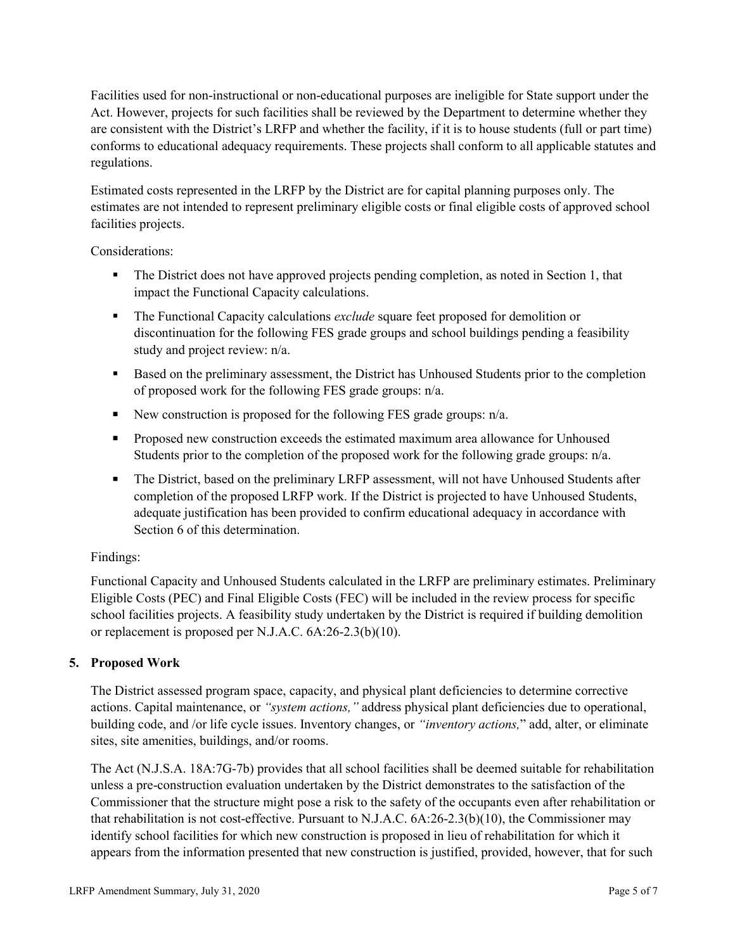Facilities used for non-instructional or non-educational purposes are ineligible for State support under the Act. However, projects for such facilities shall be reviewed by the Department to determine whether they are consistent with the District's LRFP and whether the facility, if it is to house students (full or part time) conforms to educational adequacy requirements. These projects shall conform to all applicable statutes and regulations.

Estimated costs represented in the LRFP by the District are for capital planning purposes only. The estimates are not intended to represent preliminary eligible costs or final eligible costs of approved school facilities projects.

Considerations:

- The District does not have approved projects pending completion, as noted in Section 1, that impact the Functional Capacity calculations.
- **The Functional Capacity calculations** *exclude* square feet proposed for demolition or discontinuation for the following FES grade groups and school buildings pending a feasibility study and project review: n/a.
- Based on the preliminary assessment, the District has Unhoused Students prior to the completion of proposed work for the following FES grade groups: n/a.
- New construction is proposed for the following FES grade groups: n/a.
- Proposed new construction exceeds the estimated maximum area allowance for Unhoused Students prior to the completion of the proposed work for the following grade groups: n/a.
- The District, based on the preliminary LRFP assessment, will not have Unhoused Students after completion of the proposed LRFP work. If the District is projected to have Unhoused Students, adequate justification has been provided to confirm educational adequacy in accordance with Section 6 of this determination.

# Findings:

Functional Capacity and Unhoused Students calculated in the LRFP are preliminary estimates. Preliminary Eligible Costs (PEC) and Final Eligible Costs (FEC) will be included in the review process for specific school facilities projects. A feasibility study undertaken by the District is required if building demolition or replacement is proposed per N.J.A.C. 6A:26-2.3(b)(10).

# **5. Proposed Work**

The District assessed program space, capacity, and physical plant deficiencies to determine corrective actions. Capital maintenance, or *"system actions,"* address physical plant deficiencies due to operational, building code, and /or life cycle issues. Inventory changes, or *"inventory actions,*" add, alter, or eliminate sites, site amenities, buildings, and/or rooms.

The Act (N.J.S.A. 18A:7G-7b) provides that all school facilities shall be deemed suitable for rehabilitation unless a pre-construction evaluation undertaken by the District demonstrates to the satisfaction of the Commissioner that the structure might pose a risk to the safety of the occupants even after rehabilitation or that rehabilitation is not cost-effective. Pursuant to N.J.A.C. 6A:26-2.3(b)(10), the Commissioner may identify school facilities for which new construction is proposed in lieu of rehabilitation for which it appears from the information presented that new construction is justified, provided, however, that for such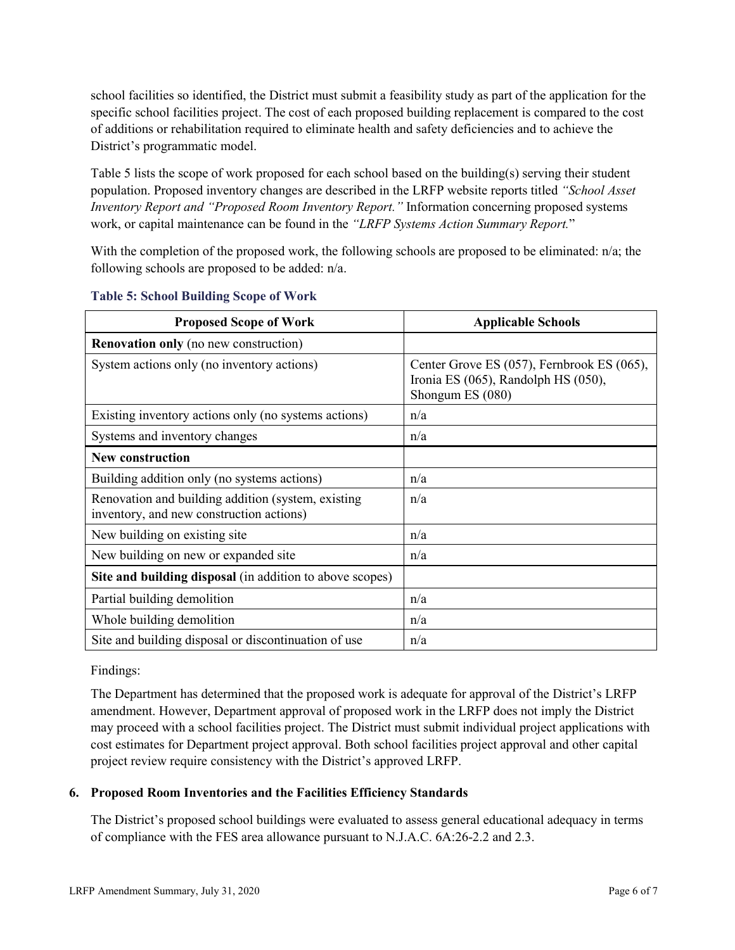school facilities so identified, the District must submit a feasibility study as part of the application for the specific school facilities project. The cost of each proposed building replacement is compared to the cost of additions or rehabilitation required to eliminate health and safety deficiencies and to achieve the District's programmatic model.

Table 5 lists the scope of work proposed for each school based on the building(s) serving their student population. Proposed inventory changes are described in the LRFP website reports titled *"School Asset Inventory Report and "Proposed Room Inventory Report."* Information concerning proposed systems work, or capital maintenance can be found in the *"LRFP Systems Action Summary Report.*"

With the completion of the proposed work, the following schools are proposed to be eliminated: n/a; the following schools are proposed to be added: n/a.

| <b>Proposed Scope of Work</b>                                                                  | <b>Applicable Schools</b>                                                                                   |
|------------------------------------------------------------------------------------------------|-------------------------------------------------------------------------------------------------------------|
| <b>Renovation only</b> (no new construction)                                                   |                                                                                                             |
| System actions only (no inventory actions)                                                     | Center Grove ES (057), Fernbrook ES (065),<br>Ironia ES $(065)$ , Randolph HS $(050)$ ,<br>Shongum ES (080) |
| Existing inventory actions only (no systems actions)                                           | n/a                                                                                                         |
| Systems and inventory changes                                                                  | n/a                                                                                                         |
| <b>New construction</b>                                                                        |                                                                                                             |
| Building addition only (no systems actions)                                                    | n/a                                                                                                         |
| Renovation and building addition (system, existing<br>inventory, and new construction actions) | n/a                                                                                                         |
| New building on existing site                                                                  | n/a                                                                                                         |
| New building on new or expanded site                                                           | n/a                                                                                                         |
| Site and building disposal (in addition to above scopes)                                       |                                                                                                             |
| Partial building demolition                                                                    | n/a                                                                                                         |
| Whole building demolition                                                                      | n/a                                                                                                         |
| Site and building disposal or discontinuation of use                                           | n/a                                                                                                         |

#### **Table 5: School Building Scope of Work**

Findings:

The Department has determined that the proposed work is adequate for approval of the District's LRFP amendment. However, Department approval of proposed work in the LRFP does not imply the District may proceed with a school facilities project. The District must submit individual project applications with cost estimates for Department project approval. Both school facilities project approval and other capital project review require consistency with the District's approved LRFP.

# **6. Proposed Room Inventories and the Facilities Efficiency Standards**

The District's proposed school buildings were evaluated to assess general educational adequacy in terms of compliance with the FES area allowance pursuant to N.J.A.C. 6A:26-2.2 and 2.3.